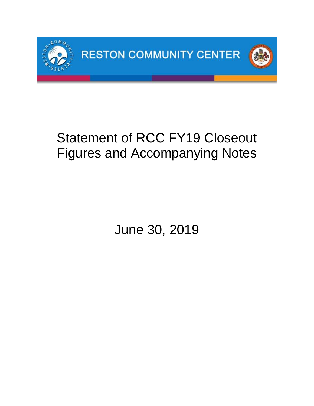

# Statement of RCC FY19 Closeout Figures and Accompanying Notes

June 30, 2019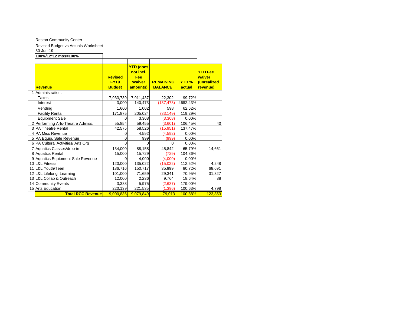Reston Community Center

Revised Budget vs Actuals Worksheet

#### 30-Jun-19

| טו⊤ווט־טט                          |                                                |                                  |                                    |                        |                                         |
|------------------------------------|------------------------------------------------|----------------------------------|------------------------------------|------------------------|-----------------------------------------|
| 100%/12*12 mos=100%                |                                                |                                  |                                    |                        |                                         |
|                                    |                                                | <b>YTD (does</b><br>not incl.    |                                    |                        | <b>YTD Fee</b>                          |
| Revenue                            | <b>Revised</b><br><b>FY19</b><br><b>Budget</b> | Fee<br><b>Waiver</b><br>amounts) | <b>REMAINING</b><br><b>BALANCE</b> | <b>YTD %</b><br>actual | waiver<br><b>unrealized</b><br>revenue) |
| 1 Administration:                  |                                                |                                  |                                    |                        |                                         |
| Taxes                              | 7,933,739                                      | 7,911,437                        | 22,302                             | 99.72%                 |                                         |
| Interest                           | 3,000                                          | 140,473                          | (137, 473)                         | 4682.43%               |                                         |
| Vending                            | 1,600                                          | 1,002                            | 598                                | 62.62%                 |                                         |
| <b>Facility Rental</b>             | 171,875                                        | 205,024                          | (33, 149)                          | 119.29%                |                                         |
| <b>Equipment Sale</b>              | 0                                              | 3,308                            | (3,308)                            | 0.00%                  |                                         |
| 2 Performing Arts-Theatre Admiss.  | 55,854                                         | 59,455                           | (3,601)                            | 106.45%                | 40                                      |
| 3 PA Theatre Rental                | 42,575                                         | 58,526                           | (15, 951)                          | 137.47%                |                                         |
| 4 PA Misc Revenue                  | 0                                              | 4.592                            | (4, 592)                           | 0.00%                  |                                         |
| 5 PA Equip. Sale Revenue           | 0                                              | 999                              | (999)                              | 0.00%                  |                                         |
| 6 PA Cultural Activities/ Arts Org | $\Omega$                                       | 0                                | $\Omega$                           | 0.00%                  |                                         |
| 7 Aquatics Classes/drop-in         | 134,000                                        | 88,158                           | 45,842                             | 65.79%                 | 14,661                                  |
| 8 Aquatics Rental                  | 15,000                                         | 15,729                           | (729)                              | 104.86%                |                                         |
| 9 Aquatics Equipment Sale Revenue  | O                                              | 4,000                            | (4,000)                            | 0.00%                  |                                         |
| 10 L&L Fitness                     | 120,000                                        | 135,022                          | (15, 022)                          | 112.52%                | 4,248                                   |
| 11 L&L Youth/Teen                  | 186,716                                        | 150,717                          | 35,999                             | 80.72%                 | 68,691                                  |
| 12 L&L Lifelong Learning           | 101,000                                        | 71,659                           | 29,341                             | 70.95%                 | 31,327                                  |
| 13 L&L Collab & Outreach           | 12,000                                         | 2,236                            | 9,764                              | 18.64%                 | 88                                      |
| 14 Community Events                | 3,338                                          | 5,975                            | (2,637)                            | 179.00%                |                                         |
| 15 Arts Education                  | 220,139                                        | 221,535                          | (1, 396)                           | 100.63%                | 4,798                                   |
| <b>Total RCC Revenue</b>           | 9.000.836                                      | 9.079.849                        | $-79,013$                          | 100.88%                | 123,853                                 |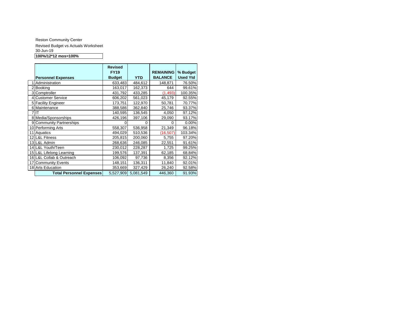Reston Community Center Revised Budget vs Actuals Worksheet 30-Jun-19 **100%/12\*12 mos=100%**

|                                 | <b>Revised</b><br><b>FY19</b> |            | <b>REMAINING</b> | % Budget        |
|---------------------------------|-------------------------------|------------|------------------|-----------------|
| <b>Personnel Expenses</b>       | <b>Budget</b>                 | <b>YTD</b> | <b>BALANCE</b>   | <b>Used Ytd</b> |
| Administration                  | 633,483                       | 484,612    | 148,871          | 76.50%          |
| 2 Booking                       | 163,017                       | 162,373    | 644              | 99.61%          |
| 3 Comptroller                   | 431,792                       | 433,285    | (1, 493)         | 100.35%         |
| <b>Customer Service</b>         | 606,202                       | 561,023    | 45,179           | 92.55%          |
| 5 Facility Engineer             | 173,751                       | 122,970    | 50,781           | 70.77%          |
| 6 Maintenance                   | 388,586                       | 362,840    | 25,746           | 93.37%          |
| 'IIT                            | 140,595                       | 136,545    | 4,050            | 97.12%          |
| 8 Media/Sponsorships            | 426,196                       | 397,106    | 29,090           | 93.17%          |
| 9 Community Partnerships        |                               | 0          | 0                | 0.00%           |
| 10 Performing Arts              | 558,307                       | 536,958    | 21,349           | 96.18%          |
| 11 Aquatics                     | 494,029                       | 510,536    | (16,507)         | 103.34%         |
| 12 L&L Fitness                  | 205,815                       | 200,060    | 5,755            | 97.20%          |
| 13 L&L Admin                    | 268,636                       | 246,085    | 22,551           | 91.61%          |
| 14 L&L Youth/Teen               | 230,012                       | 228,287    | 1,725            | 99.25%          |
| 15 L&L Lifelong Learning        | 199,576                       | 137,391    | 62,185           | 68.84%          |
| 16 L&L Collab & Outreach        | 106,092                       | 97,736     | 8,356            | 92.12%          |
| 17 Community Events             | 148,151                       | 136,311    | 11,840           | 92.01%          |
| 18 Arts Education               | 353,669                       | 327,429    | 26,240           | 92.58%          |
| <b>Total Personnel Expenses</b> | 5,527,909                     | 5,081,549  | 446,360          | 91.93%          |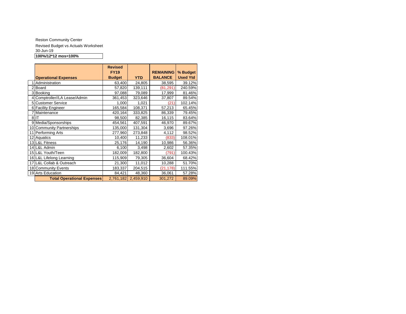Reston Community Center Revised Budget vs Actuals Worksheet 30-Jun-19 **100%/12\*12 mos=100%**

|    |                                   | <b>Revised</b><br><b>FY19</b> |            | <b>REMAINING</b> | % Budget        |
|----|-----------------------------------|-------------------------------|------------|------------------|-----------------|
|    | <b>Operational Expenses</b>       | <b>Budget</b>                 | <b>YTD</b> | <b>BALANCE</b>   | <b>Used Ytd</b> |
|    | Administration                    | 63,400                        | 24,805     | 38,595           | 39.12%          |
|    | Board                             | 57,820                        | 139,111    | (81, 291)        | 240.59%         |
| 3  | <b>Booking</b>                    | 97,088                        | 79,089     | 17,999           | 81.46%          |
|    | 4 Comptroller//LA Lease/Admin     | 361,453                       | 323,646    | 37,807           | 89.54%          |
| 51 | <b>Customer Service</b>           | 1,000                         | 1,021      | (21              | 102.14%         |
|    | 6 Facility Engineer               | 165,584                       | 108,371    | 57,213           | 65.45%          |
|    | Maintenance                       | 420,164                       | 333,825    | 86,339           | 79.45%          |
|    | $8$ IT                            | 98,500                        | 82,385     | 16,115           | 83.64%          |
|    | 9 Media/Sponsorships              | 454,561                       | 407,591    | 46,970           | 89.67%          |
|    | 10 Community Partnerships         | 135,000                       | 131,304    | 3,696            | 97.26%          |
| 11 | Performing Arts                   | 277,960                       | 273,848    | 4,112            | 98.52%          |
|    | 12 Aquatics                       | 10,400                        | 11,233     | (833)            | 108.01%         |
|    | 13 L&L Fitness                    | 25,176                        | 14,190     | 10,986           | 56.36%          |
|    | 14 L&L Admin                      | 6,100                         | 3,498      | 2,602            | 57.35%          |
|    | 15 L&L Youth/Teen                 | 182,009                       | 182,800    | (791             | 100.43%         |
|    | 16 L&L Lifelong Learning          | 115,909                       | 79,305     | 36,604           | 68.42%          |
| 17 | L&L Collab & Outreach             | 21,300                        | 11,012     | 10,288           | 51.70%          |
|    | 18 Community Events               | 183,337                       | 204,515    | (21, 178)        | 111.55%         |
|    | 19 Arts Education                 | 84,421                        | 48,360     | 36,061           | 57.28%          |
|    | <b>Total Operational Expenses</b> | 2,761,182                     | 2,459,910  | 301,272          | 89.09%          |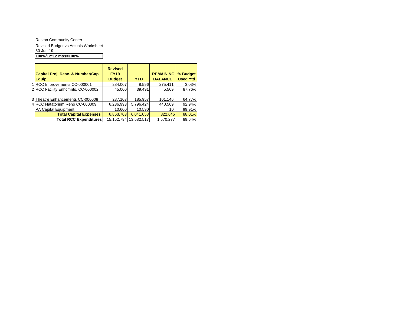Reston Community Center Revised Budget vs Actuals Worksheet 30-Jun-19 **100%/12\*12 mos=100%**

| Capital Proj. Desc. & Number/Cap   | <b>Revised</b><br><b>FY19</b> |            | <b>REMAINING</b> | % Budget        |
|------------------------------------|-------------------------------|------------|------------------|-----------------|
| Equip.                             | <b>Budget</b>                 | <b>YTD</b> | <b>BALANCE</b>   | <b>Used Ytd</b> |
| 1 RCC Improvements CC-000001       | 284,007                       | 8.596      | 275,411          | 3.03%           |
| 2 RCC Facility Enhcmnts. CC-000002 | 45.000                        | 39.491     | 5,509            | 87.76%          |
|                                    |                               |            |                  |                 |
| 3 Theatre Enhancements CC-000008   | 287,103                       | 185,957    | 101,146          | 64.77%          |
| 4 RCC Natatorium Reno CC-000009    | 6,236,993                     | 5,796,424  | 440.569          | 92.94%          |
| PA Capital Equipment               | 10,600                        | 10.590     | 10               | 99.91%          |
| <b>Total Capital Expenses</b>      | 6,863,703                     | 6,041,058  | 822,645          | 88.01%          |
| <b>Total RCC Expenditures</b>      | 15,152,794                    | 13.582.517 | 1,570,277        | 89.64%          |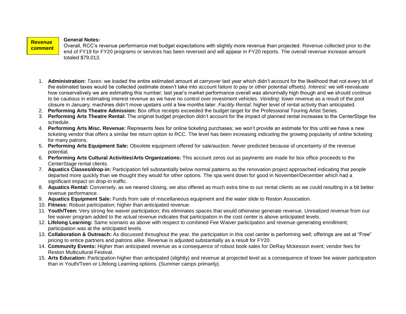### **General Notes:**

**Revenue** 

**s:**

Overall, RCC's revenue performance met budget expectations with slightly more revenue than projected. Revenue collected prior to the end of FY19 for FY20 programs or services has been reversed and will appear in FY20 reports. The overall revenue increase amount totaled \$79,013. **comment**

- 1. **Administration:** *Taxes*: we loaded the entire estimated amount at carryover last year which didn't account for the likelihood that not every bit of the estimated taxes would be collected (estimate doesn't take into account failure to pay or other potential offsets). *Interest*: we will reevaluate how conservatively we are estimating this number; last year's market performance overall was abnormally high though and we should continue to be cautious in estimating interest revenue as we have no control over investment vehicles. *Vending*: lower revenue as a result of the pool closure in January; machines didn't move upstairs until a few months later. *Facility Rental*: higher level of rental activity than anticipated.
- 2. **Performing Arts Theatre Admission:** Box office receipts exceeded the budget target for the Professional Touring Artist Series.
- 3. **Performing Arts Theatre Rental:** The original budget projection didn't account for the impact of planned rental increases to the CenterStage fee schedule.
- 4. **Performing Arts Misc. Revenue:** Represents fees for online ticketing purchases; we won't provide an estimate for this until we have a new ticketing vendor that offers a similar fee return option to RCC. The level has been increasing indicating the growing popularity of online ticketing for many patrons.
- 5. **Performing Arts Equipment Sale:** Obsolete equipment offered for sale/auction. Never predicted because of uncertainty of the revenue potential.
- 6. **Performing Arts Cultural Activities/Arts Organizations:** This account zeros out as payments are made for box office proceeds to the CenterStage rental clients.
- 7. **Aquatics Classes/drop-in:** Participation fell substantially below normal patterns as the renovation project approached indicating that people departed more quickly than we thought they would for other options. The spa went down for good in November/December which had a significant impact on drop-in traffic.
- 8. **Aquatics Rental:** Conversely, as we neared closing, we also offered as much extra time to our rental clients as we could resulting in a bit better revenue performance.
- 9. **Aquatics Equipment Sale:** Funds from sale of miscellaneous equipment and the water slide to Reston Association.
- 10. **Fitness:** Robust participation; higher than anticipated revenue.
- 11. **Youth/Teen:** Very strong fee waiver participation; this eliminates spaces that would otherwise generate revenue. Unrealized revenue from our fee waiver program added to the actual revenue indicates that participation in the cost center is above anticipated levels.
- 12. **Lifelong Learning:** Same scenario as above with respect to combined Fee Waiver participation and revenue-generating enrollment; participation was at the anticipated levels.
- 13. **Collaboration & Outreach:** As discussed throughout the year, the participation in this cost center is performing well; offerings are set at "Free" pricing to entice partners and patrons alike. Revenue is adjusted substantially as a result for FY20.
- 14. **Community Events:** Higher than anticipated revenue as a consequence of robust book sales for DeRay Mckesson event; vendor fees for Reston Multicultural Festival.
- 15. **Arts Education:** Participation higher than anticipated (slightly) and revenue at projected level as a consequence of lower fee waiver participation than in Youth/Teen or Lifelong Learning options. (Summer camps primarily).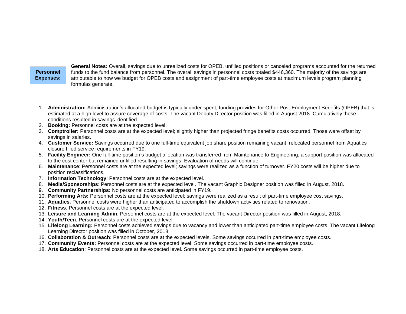# **Personnel Expenses:**

**General Notes:** Overall, savings due to unrealized costs for OPEB, unfilled positions or canceled programs accounted for the returned funds to the fund balance from personnel. The overall savings in personnel costs totaled \$446,360. The majority of the savings are attributable to how we budget for OPEB costs and assignment of part-time employee costs at maximum levels program planning formulas generate.

- 1. **Administration:** Administration's allocated budget is typically under-spent; funding provides for Other Post-Employment Benefits (OPEB) that is estimated at a high level to assure coverage of costs. The vacant Deputy Director position was filled in August 2018. Cumulatively these conditions resulted in savings identified.
- 2. **Booking:** Personnel costs are at the expected level.
- 3. **Comptroller:** Personnel costs are at the expected level; slightly higher than projected fringe benefits costs occurred. Those were offset by savings in salaries.
- 4. **Customer Service:** Savings occurred due to one full-time equivalent job share position remaining vacant; relocated personnel from Aquatics closure filled service requirements in FY19.
- 5. **Facility Engineer:** One full-time position's budget allocation was transferred from Maintenance to Engineering; a support position was allocated to the cost center but remained unfilled resulting in savings. Evaluation of needs will continue.
- 6. **Maintenance**: Personnel costs are at the expected level; savings were realized as a function of turnover. FY20 costs will be higher due to position reclassifications.
- 7. **Information Technology**: Personnel costs are at the expected level.
- 8. **Media/Sponsorships**: Personnel costs are at the expected level. The vacant Graphic Designer position was filled in August, 2018.
- 9. **Community Partnerships:** No personnel costs are anticipated in FY19.
- 10. **Performing Arts:** Personnel costs are at the expected level; savings were realized as a result of part-time employee cost savings.
- 11. **Aquatics**: Personnel costs were higher than anticipated to accomplish the shutdown activities related to renovation.
- 12. **Fitness**: Personnel costs are at the expected level.
- 13. **Leisure and Learning Admin**: Personnel costs are at the expected level. The vacant Director position was filled in August, 2018.
- 14. **Youth/Teen**: Personnel costs are at the expected level.
- 15. **Lifelong Learning:** Personnel costs achieved savings due to vacancy and lower than anticipated part-time employee costs. The vacant Lifelong Learning Director position was filled in October, 2018.
- 16. **Collaboration & Outreach:** Personnel costs are at the expected levels. Some savings occurred in part-time employee costs.
- 17. **Community Events:** Personnel costs are at the expected level. Some savings occurred in part-time employee costs.
- 18. **Arts Education**: Personnel costs are at the expected level. Some savings occurred in part-time employee costs.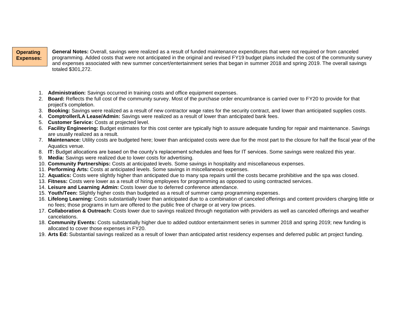### **Operating Expenses:**

**General Notes:** Overall, savings were realized as a result of funded maintenance expenditures that were not required or from canceled programming. Added costs that were not anticipated in the original and revised FY19 budget plans included the cost of the community survey and expenses associated with new summer concert/entertainment series that began in summer 2018 and spring 2019. The overall savings totaled \$301,272.

- 1. **Administration:** Savings occurred in training costs and office equipment expenses.
- 2. **Board:** Reflects the full cost of the community survey. Most of the purchase order encumbrance is carried over to FY20 to provide for that project's completion.
- 3. **Booking:** Savings were realized as a result of new contractor wage rates for the security contract, and lower than anticipated supplies costs.
- 4. **Comptroller/LA Lease/Admin:** Savings were realized as a result of lower than anticipated bank fees.
- 5. **Customer Service:** Costs at projected level.
- 6. **Facility Engineering:** Budget estimates for this cost center are typically high to assure adequate funding for repair and maintenance. Savings are usually realized as a result.
- 7. **Maintenance:** Utility costs are budgeted here; lower than anticipated costs were due for the most part to the closure for half the fiscal year of the Aquatics venue.
- 8. **IT:** Budget allocations are based on the county's replacement schedules and fees for IT services. Some savings were realized this year.
- 9. **Media:** Savings were realized due to lower costs for advertising.
- 10. **Community Partnerships:** Costs at anticipated levels. Some savings in hospitality and miscellaneous expenses.
- 11. **Performing Arts:** Costs at anticipated levels. Some savings in miscellaneous expenses.
- 12. **Aquatics:** Costs were slightly higher than anticipated due to many spa repairs until the costs became prohibitive and the spa was closed.
- 13. **Fitness:** Costs were lower as a result of hiring employees for programming as opposed to using contracted services.
- 14. **Leisure and Learning Admin:** Costs lower due to deferred conference attendance.
- 15. **Youth/Teen:** Slightly higher costs than budgeted as a result of summer camp programming expenses.
- 16. **Lifelong Learning:** Costs substantially lower than anticipated due to a combination of canceled offerings and content providers charging little or no fees; those programs in turn are offered to the public free of charge or at very low prices.
- 17. **Collaboration & Outreach:** Costs lower due to savings realized through negotiation with providers as well as canceled offerings and weather cancelations.
- 18. **Community Events:** Costs substantially higher due to added outdoor entertainment series in summer 2018 and spring 2019; new funding is allocated to cover those expenses in FY20.
- 19. **Arts Ed:** Substantial savings realized as a result of lower than anticipated artist residency expenses and deferred public art project funding.